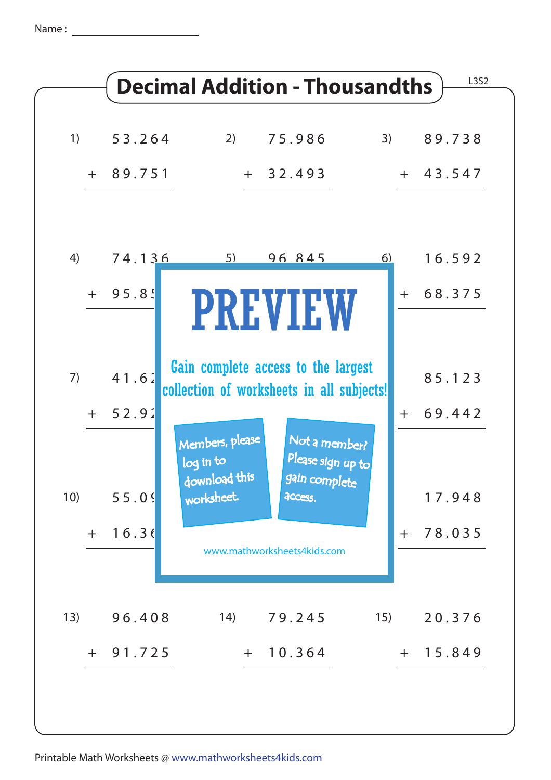